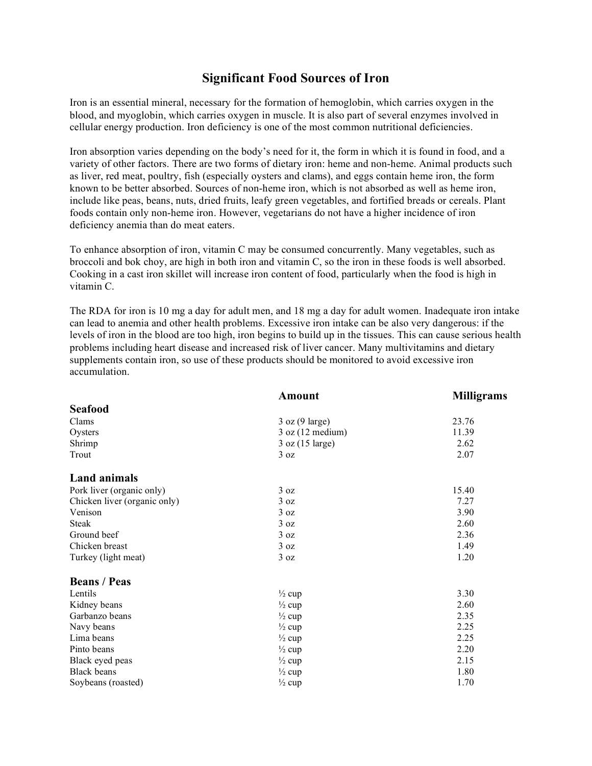## **Significant Food Sources of Iron**

Iron is an essential mineral, necessary for the formation of hemoglobin, which carries oxygen in the blood, and myoglobin, which carries oxygen in muscle. It is also part of several enzymes involved in cellular energy production. Iron deficiency is one of the most common nutritional deficiencies.

Iron absorption varies depending on the body's need for it, the form in which it is found in food, and a variety of other factors. There are two forms of dietary iron: heme and non-heme. Animal products such as liver, red meat, poultry, fish (especially oysters and clams), and eggs contain heme iron, the form known to be better absorbed. Sources of non-heme iron, which is not absorbed as well as heme iron, include like peas, beans, nuts, dried fruits, leafy green vegetables, and fortified breads or cereals. Plant foods contain only non-heme iron. However, vegetarians do not have a higher incidence of iron deficiency anemia than do meat eaters.

To enhance absorption of iron, vitamin C may be consumed concurrently. Many vegetables, such as broccoli and bok choy, are high in both iron and vitamin C, so the iron in these foods is well absorbed. Cooking in a cast iron skillet will increase iron content of food, particularly when the food is high in vitamin C.

The RDA for iron is 10 mg a day for adult men, and 18 mg a day for adult women. Inadequate iron intake can lead to anemia and other health problems. Excessive iron intake can be also very dangerous: if the levels of iron in the blood are too high, iron begins to build up in the tissues. This can cause serious health problems including heart disease and increased risk of liver cancer. Many multivitamins and dietary supplements contain iron, so use of these products should be monitored to avoid excessive iron accumulation.

|                              | Amount                       | <b>Milligrams</b> |
|------------------------------|------------------------------|-------------------|
| <b>Seafood</b>               |                              |                   |
| Clams                        | 3 oz (9 large)               | 23.76             |
| Oysters                      | $3$ oz $(12 \text{ medium})$ | 11.39             |
| Shrimp                       | 3 oz (15 large)              | 2.62              |
| Trout                        | 3 oz                         | 2.07              |
| <b>Land animals</b>          |                              |                   |
| Pork liver (organic only)    | 3 oz                         | 15.40             |
| Chicken liver (organic only) | 3 oz                         | 7.27              |
| Venison                      | 3 oz                         | 3.90              |
| <b>Steak</b>                 | 3 oz                         | 2.60              |
| Ground beef                  | 3 oz                         | 2.36              |
| Chicken breast               | 3 oz                         | 1.49              |
| Turkey (light meat)          | 3 oz                         | 1.20              |
| <b>Beans / Peas</b>          |                              |                   |
| Lentils                      | $\frac{1}{2}$ cup            | 3.30              |
| Kidney beans                 | $\frac{1}{2}$ cup            | 2.60              |
| Garbanzo beans               | $\frac{1}{2}$ cup            | 2.35              |
| Navy beans                   | $\frac{1}{2}$ cup            | 2.25              |
| Lima beans                   | $\frac{1}{2}$ cup            | 2.25              |
| Pinto beans                  | $\frac{1}{2}$ cup            | 2.20              |
| Black eyed peas              | $\frac{1}{2}$ cup            | 2.15              |
| <b>Black</b> beans           | $\frac{1}{2}$ cup            | 1.80              |
| Soybeans (roasted)           | $\frac{1}{2}$ cup            | 1.70              |